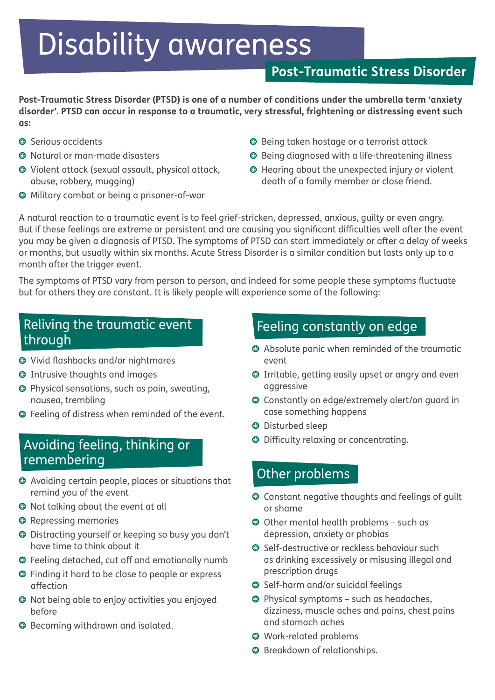# Disability awareness

# **Post-Traumatic Stress Disorder**

**Post-Traumatic Stress Disorder (PTSD) is one of a number of conditions under the umbrella term 'anxiety disorder'. PTSD can occur in response to a traumatic, very stressful, frightening or distressing event such as:**

- **Serious accidents**
- Natural or man-made disasters
- Violent attack (sexual assault, physical attack, abuse, robbery, mugging)
- Military combat or being a prisoner-of-war
- Being taken hostage or a terrorist attack
- Being diagnosed with a life-threatening illness
- Hearing about the unexpected injury or violent death of a family member or close friend.

A natural reaction to a traumatic event is to feel grief-stricken, depressed, anxious, guilty or even angry. But if these feelings are extreme or persistent and are causing you significant difficulties well after the event you may be given a diagnosis of PTSD. The symptoms of PTSD can start immediately or after a delay of weeks or months, but usually within six months. Acute Stress Disorder is a similar condition but lasts only up to a month after the trigger event.

The symptoms of PTSD vary from person to person, and indeed for some people these symptoms fluctuate but for others they are constant. It is likely people will experience some of the following:

## Reliving the traumatic event through

- Vivid flashbacks and/or nightmares
- Intrusive thoughts and images
- Physical sensations, such as pain, sweating, nausea, trembling
- Feeling of distress when reminded of the event.

## Avoiding feeling, thinking or remembering

- Avoiding certain people, places or situations that remind you of the event
- Not talking about the event at all
- **O** Repressing memories
- Distracting yourself or keeping so busy you don't have time to think about it
- Feeling detached, cut off and emotionally numb
- Finding it hard to be close to people or express affection
- Not being able to enjoy activities you enjoyed before
- Becoming withdrawn and isolated.

# Feeling constantly on edge

- Absolute panic when reminded of the traumatic event
- Irritable, getting easily upset or angry and even aggressive
- Constantly on edge/extremely alert/on guard in case something happens
- Disturbed sleep
- Difficulty relaxing or concentrating.

## Other problems

- Constant negative thoughts and feelings of guilt or shame
- Other mental health problems such as depression, anxiety or phobias
- **Self-destructive or reckless behaviour such** as drinking excessively or misusing illegal and prescription drugs
- Self-harm and/or suicidal feelings
- Physical symptoms such as headaches, dizziness, muscle aches and pains, chest pains and stomach aches
- Work-related problems
- **O** Breakdown of relationships.